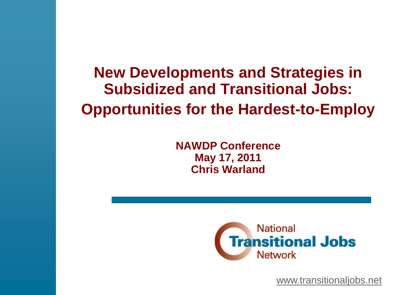**New Developments and Strategies in Subsidized and Transitional Jobs: Opportunities for the Hardest-to-Employ**

> **NAWDP Conference May 17, 2011 Chris Warland**



[www.transitionaljobs.net](http://www.transitionaljobs.net/)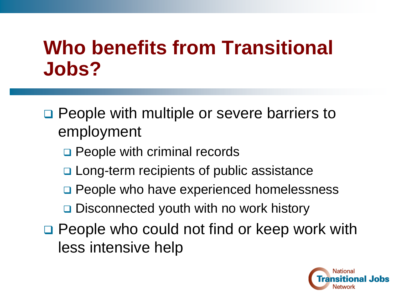### **Who benefits from Transitional Jobs?**

**□ People with multiple or severe barriers to** employment

- **Q** People with criminal records
- □ Long-term recipients of public assistance
- **Q** People who have experienced homelessness
- **□** Disconnected youth with no work history
- □ People who could not find or keep work with less intensive help

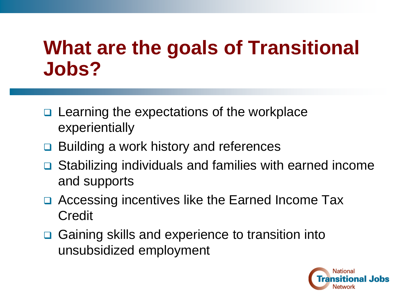### **What are the goals of Transitional Jobs?**

- **□** Learning the expectations of the workplace experientially
- **□ Building a work history and references**
- **□** Stabilizing individuals and families with earned income and supports
- **□ Accessing incentives like the Earned Income Tax** Credit
- **□** Gaining skills and experience to transition into unsubsidized employment

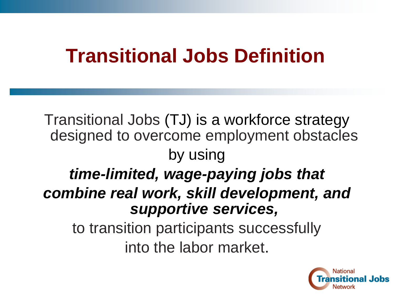#### **Transitional Jobs Definition**

Transitional Jobs (TJ) is a workforce strategy designed to overcome employment obstacles by using *time-limited, wage-paying jobs that combine real work, skill development, and supportive services,* to transition participants successfully into the labor market.

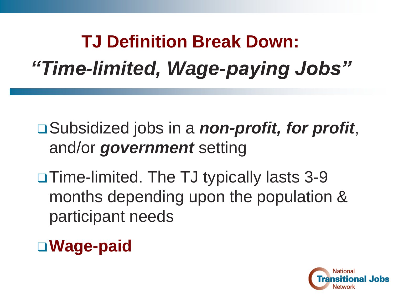## **TJ Definition Break Down:** *"Time-limited, Wage-paying Jobs"*

Subsidized jobs in a *non-profit, for profit*, and/or *government* setting

□ Time-limited. The TJ typically lasts 3-9 months depending upon the population & participant needs

**Wage-paid**

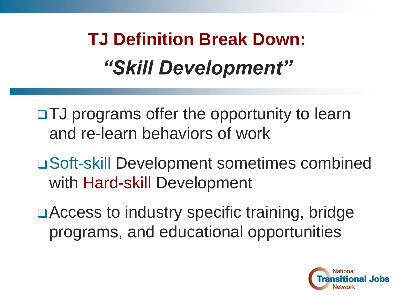# **TJ Definition Break Down:**  *"Skill Development"*

□TJ programs offer the opportunity to learn and re-learn behaviors of work

Soft-skill Development sometimes combined with Hard-skill Development

□ Access to industry specific training, bridge programs, and educational opportunities

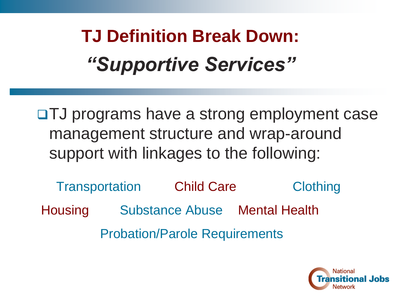**TJ Definition Break Down:** *"Supportive Services"*

TJ programs have a strong employment case management structure and wrap-around support with linkages to the following:

Transportation Child Care Clothing Housing Substance Abuse Mental Health Probation/Parole Requirements

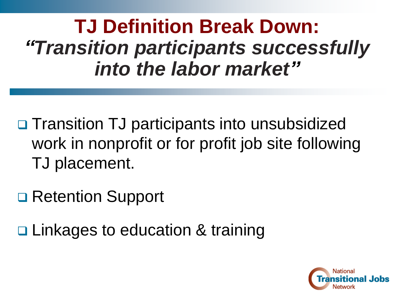**TJ Definition Break Down:**  *"Transition participants successfully into the labor market"*

**□ Transition TJ participants into unsubsidized** work in nonprofit or for profit job site following TJ placement.

**□ Retention Support** 

**□ Linkages to education & training** 

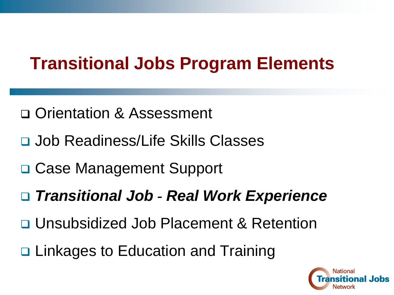#### **Transitional Jobs Program Elements**

- □ Orientation & Assessment
- Job Readiness/Life Skills Classes
- **□ Case Management Support**
- *Transitional Job - Real Work Experience*
- Unsubsidized Job Placement & Retention
- **□ Linkages to Education and Training**

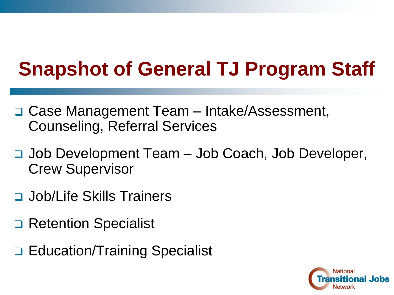## **Snapshot of General TJ Program Staff**

- □ Case Management Team Intake/Assessment, Counseling, Referral Services
- Job Development Team Job Coach, Job Developer, Crew Supervisor
- **D** Job/Life Skills Trainers
- Retention Specialist
- **□ Education/Training Specialist**

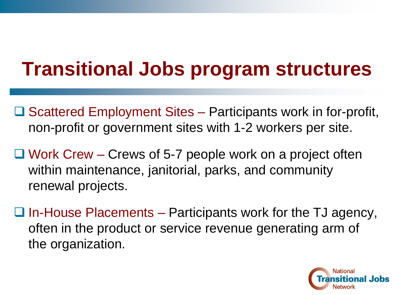## **Transitional Jobs program structures**

- $\Box$  Scattered Employment Sites Participants work in for-profit, non-profit or government sites with 1-2 workers per site.
- $\Box$  Work Crew Crews of 5-7 people work on a project often within maintenance, janitorial, parks, and community renewal projects.
- $\Box$  In-House Placements Participants work for the TJ agency, often in the product or service revenue generating arm of the organization.

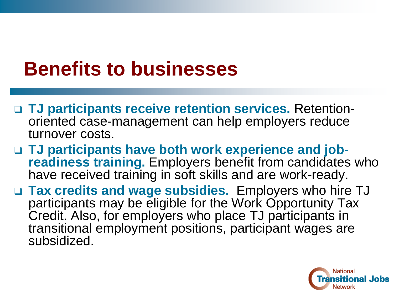### **Benefits to businesses**

- **TJ participants receive retention services.** Retentionoriented case-management can help employers reduce turnover costs.
- **TJ participants have both work experience and jobreadiness training.** Employers benefit from candidates who have received training in soft skills and are work-ready.
- **Tax credits and wage subsidies.** Employers who hire TJ participants may be eligible for the Work Opportunity Tax Credit. Also, for employers who place TJ participants in transitional employment positions, participant wages are subsidized.

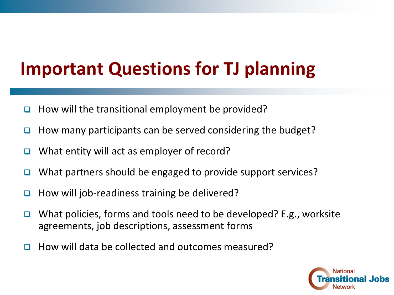#### **Important Questions for TJ planning**

- $\Box$  How will the transitional employment be provided?
- How many participants can be served considering the budget?
- What entity will act as employer of record?
- $\Box$  What partners should be engaged to provide support services?
- $\Box$  How will job-readiness training be delivered?
- $\Box$  What policies, forms and tools need to be developed? E.g., worksite agreements, job descriptions, assessment forms
- $\Box$  How will data be collected and outcomes measured?

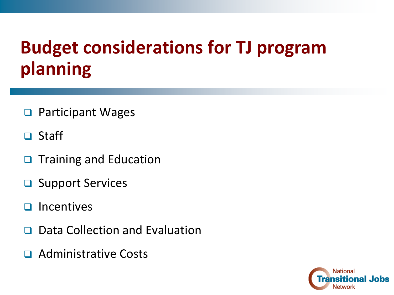#### **Budget considerations for TJ program planning**

- **□** Participant Wages
- □ Staff
- $\Box$  Training and Education
- **□** Support Services
- $\Box$  Incentives
- Data Collection and Evaluation
- **Q** Administrative Costs

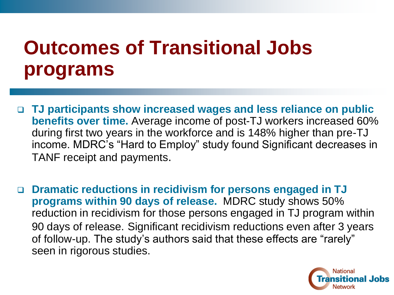### **Outcomes of Transitional Jobs programs**

- **TJ participants show increased wages and less reliance on public benefits over time.** Average income of post-TJ workers increased 60% during first two years in the workforce and is 148% higher than pre-TJ income. MDRC's "Hard to Employ" study found Significant decreases in TANF receipt and payments.
- **Dramatic reductions in recidivism for persons engaged in TJ programs within 90 days of release.** MDRC study shows 50% reduction in recidivism for those persons engaged in TJ program within 90 days of release. Significant recidivism reductions even after 3 years of follow-up. The study's authors said that these effects are "rarely" seen in rigorous studies.

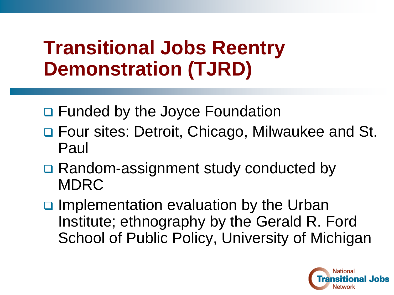### **Transitional Jobs Reentry Demonstration (TJRD)**

- □ Funded by the Joyce Foundation
- □ Four sites: Detroit, Chicago, Milwaukee and St. Paul
- **□ Random-assignment study conducted by** MDRC
- $\Box$  Implementation evaluation by the Urban Institute; ethnography by the Gerald R. Ford School of Public Policy, University of Michigan

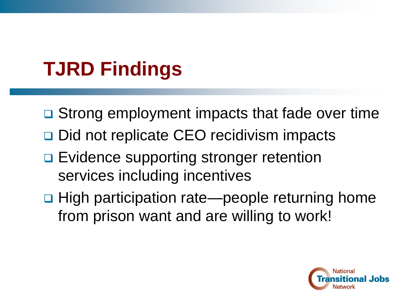## **TJRD Findings**

- **□** Strong employment impacts that fade over time
- **□ Did not replicate CEO recidivism impacts**
- **□ Evidence supporting stronger retention** services including incentives
- **□ High participation rate—people returning home** from prison want and are willing to work!

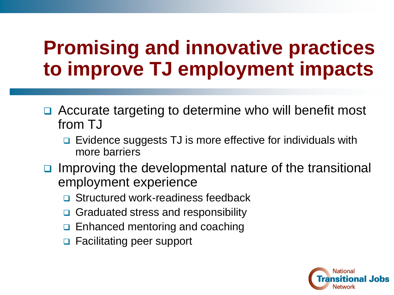### **Promising and innovative practices to improve TJ employment impacts**

- **□** Accurate targeting to determine who will benefit most from TJ
	- □ Evidence suggests TJ is more effective for individuals with more barriers
- Improving the developmental nature of the transitional employment experience
	- □ Structured work-readiness feedback
	- **□** Graduated stress and responsibility
	- $\Box$  Enhanced mentoring and coaching
	- **□** Facilitating peer support

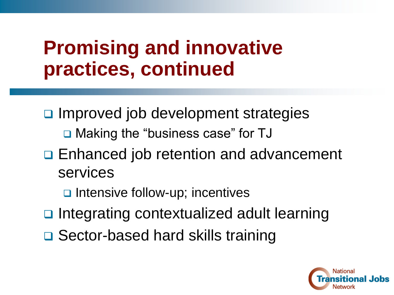### **Promising and innovative practices, continued**

- $\Box$  Improved job development strategies □ Making the "business case" for TJ
- **□ Enhanced job retention and advancement** services
	- ntensive follow-up; incentives
- □ Integrating contextualized adult learning
- **□ Sector-based hard skills training**

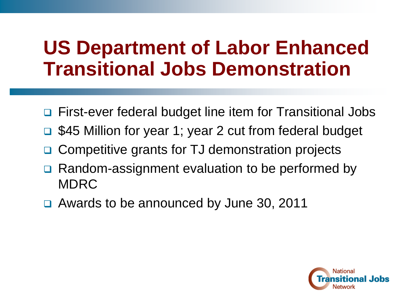#### **US Department of Labor Enhanced Transitional Jobs Demonstration**

- **□** First-ever federal budget line item for Transitional Jobs
- □ \$45 Million for year 1; year 2 cut from federal budget
- Competitive grants for TJ demonstration projects
- Random-assignment evaluation to be performed by MDRC
- □ Awards to be announced by June 30, 2011

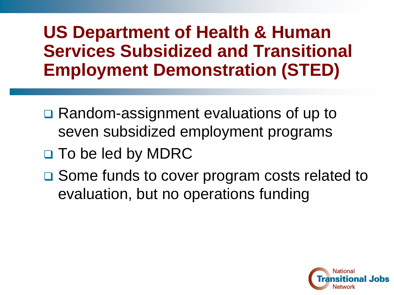#### **US Department of Health & Human Services Subsidized and Transitional Employment Demonstration (STED)**

- **□ Random-assignment evaluations of up to** seven subsidized employment programs
- □ To be led by MDRC
- **□** Some funds to cover program costs related to evaluation, but no operations funding

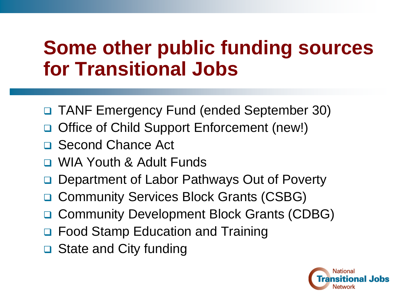### **Some other public funding sources for Transitional Jobs**

- TANF Emergency Fund (ended September 30)
- Office of Child Support Enforcement (new!)
- □ Second Chance Act
- WIA Youth & Adult Funds
- Department of Labor Pathways Out of Poverty
- **□ Community Services Block Grants (CSBG)**
- □ Community Development Block Grants (CDBG)
- Food Stamp Education and Training
- **□** State and City funding

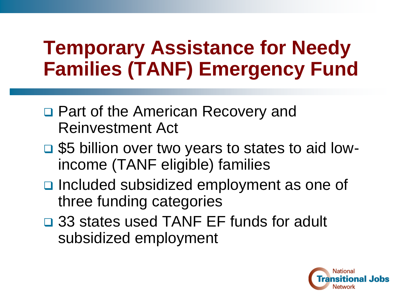### **Temporary Assistance for Needy Families (TANF) Emergency Fund**

- □ Part of the American Recovery and Reinvestment Act
- **□ \$5 billion over two years to states to aid low**income (TANF eligible) families
- □ Included subsidized employment as one of three funding categories
- □ 33 states used TANF EF funds for adult subsidized employment

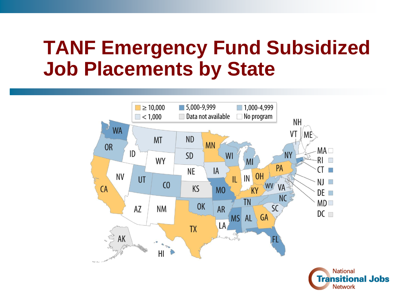#### **TANF Emergency Fund Subsidized Job Placements by State**



**National Transitional Jobs Network**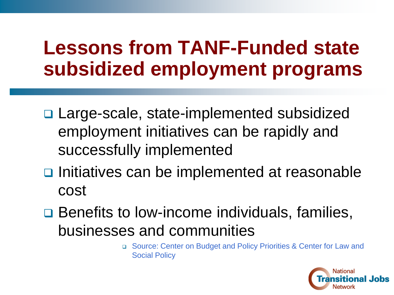### **Lessons from TANF-Funded state subsidized employment programs**

- □ Large-scale, state-implemented subsidized employment initiatives can be rapidly and successfully implemented
- $\Box$  Initiatives can be implemented at reasonable cost
- **□ Benefits to low-income individuals, families,** businesses and communities
	- □ Source: Center on Budget and Policy Priorities & Center for Law and Social Policy

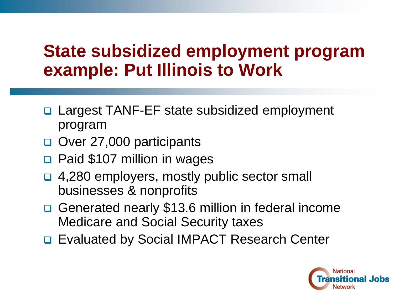#### **State subsidized employment program example: Put Illinois to Work**

- Largest TANF-EF state subsidized employment program
- Over 27,000 participants
- □ Paid \$107 million in wages
- □ 4,280 employers, mostly public sector small businesses & nonprofits
- **□ Generated nearly \$13.6 million in federal income** Medicare and Social Security taxes
- □ Evaluated by Social IMPACT Research Center

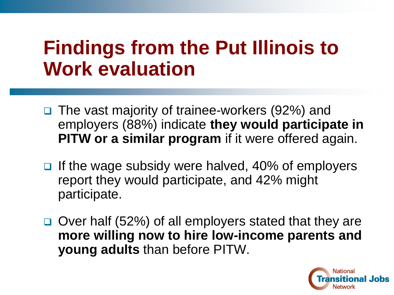### **Findings from the Put Illinois to Work evaluation**

- □ The vast majority of trainee-workers (92%) and employers (88%) indicate **they would participate in PITW or a similar program** if it were offered again.
- $\Box$  If the wage subsidy were halved, 40% of employers report they would participate, and 42% might participate.
- **□** Over half (52%) of all employers stated that they are **more willing now to hire low-income parents and young adults** than before PITW.

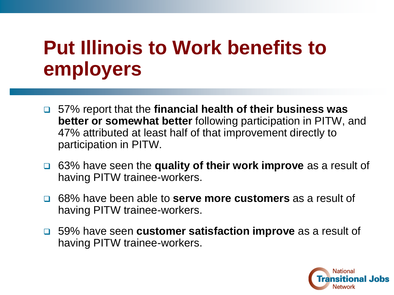### **Put Illinois to Work benefits to employers**

- 57% report that the **financial health of their business was better or somewhat better** following participation in PITW, and 47% attributed at least half of that improvement directly to participation in PITW.
- 63% have seen the **quality of their work improve** as a result of having PITW trainee-workers.
- 68% have been able to **serve more customers** as a result of having PITW trainee-workers.
- 59% have seen **customer satisfaction improve** as a result of having PITW trainee-workers.

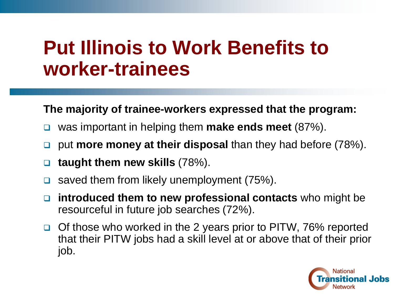#### **Put Illinois to Work Benefits to worker-trainees**

#### **The majority of trainee-workers expressed that the program:**

- was important in helping them **make ends meet** (87%).
- □ put **more money at their disposal** than they had before (78%).
- **taught them new skills** (78%).
- saved them from likely unemployment  $(75%)$ .
- **introduced them to new professional contacts** who might be resourceful in future job searches (72%).
- □ Of those who worked in the 2 years prior to PITW, 76% reported that their PITW jobs had a skill level at or above that of their prior job.

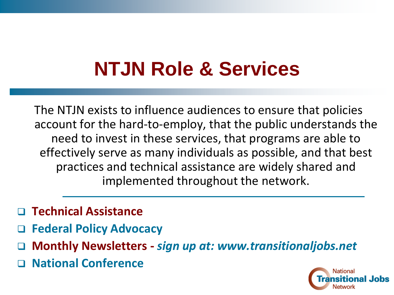## **NTJN Role & Services**

The NTJN exists to influence audiences to ensure that policies account for the hard-to-employ, that the public understands the need to invest in these services, that programs are able to effectively serve as many individuals as possible, and that best practices and technical assistance are widely shared and implemented throughout the network.

- **Technical Assistance**
- **Federal Policy Advocacy**
- **Monthly Newsletters -** *sign up at: www.transitionaljobs.net*
- **National Conference**